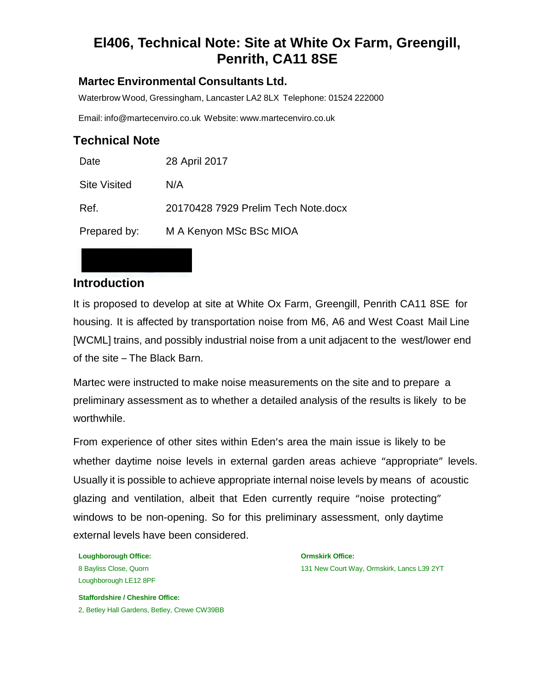# **El406, Technical Note: Site at White Ox Farm, Greengill, Penrith, CA11 8SE**

#### **Martec Environmental Consultants Ltd.**

Waterbrow Wood, Gressingham, Lancaster LA2 8LX Telephone: 01524 222000

Email: [info@martecenviro.co.uk](mailto:info@martecenviro.co.uk) Website: [www.martecenviro.co.uk](http://www.martecenviro.co.uk/)

#### **Technical Note**

| Date                | 28 April 2017                       |
|---------------------|-------------------------------------|
| <b>Site Visited</b> | N/A                                 |
| Ref.                | 20170428 7929 Prelim Tech Note.docx |
| Prepared by:        | M A Kenyon MSc BSc MIOA             |

#### **Introduction**

It is proposed to develop at site at White Ox Farm, Greengill, Penrith CA11 8SE for housing. It is affected by transportation noise from M6, A6 and West Coast Mail Line [WCML] trains, and possibly industrial noise from a unit adjacent to the west/lower end of the site – The Black Barn.

Martec were instructed to make noise measurements on the site and to prepare a preliminary assessment as to whether a detailed analysis of the results is likely to be worthwhile.

From experience of other sites within Eden's area the main issue is likely to be whether daytime noise levels in external garden areas achieve "appropriate" levels. Usually it is possible to achieve appropriate internal noise levels by means of acoustic glazing and ventilation, albeit that Eden currently require "noise protecting" windows to be non-opening. So for this preliminary assessment, only daytime external levels have been considered.

**Loughborough Office: Ormskirk Office:** Loughborough LE12 8PF

8 Bayliss Close, Quorn 131 New Court Way, Ormskirk, Lancs L39 2YT

**Staffordshire / Cheshire Office:** 2, Betley Hall Gardens, Betley, Crewe CW39BB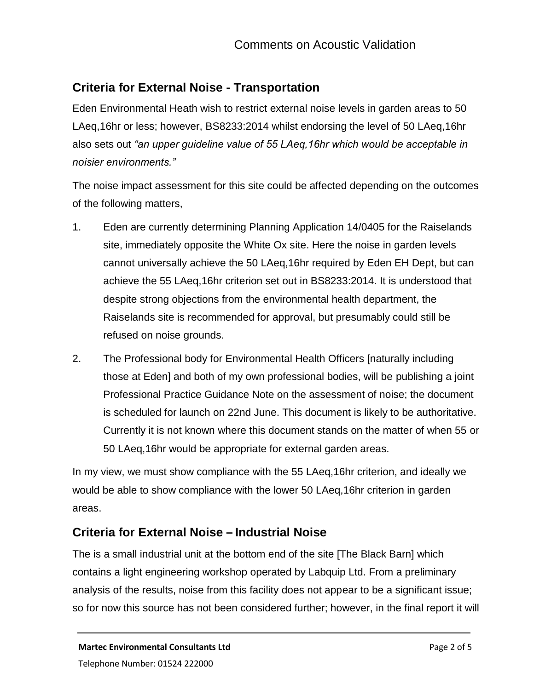### **Criteria for External Noise - Transportation**

Eden Environmental Heath wish to restrict external noise levels in garden areas to 50 LAeq,16hr or less; however, BS8233:2014 whilst endorsing the level of 50 LAeq,16hr also sets out *"an upper guideline value of 55 LAeq,16hr which would be acceptable in noisier environments."*

Methodology

The noise impact assessment for this site could be affected depending on the outcomes of the following matters,

- 1. Eden are currently determining Planning Application 14/0405 for the Raiselands site, immediately opposite the White Ox site. Here the noise in garden levels cannot universally achieve the 50 LAeq,16hr required by Eden EH Dept, but can achieve the 55 LAeq,16hr criterion set out in BS8233:2014. It is understood that despite strong objections from the environmental health department, the Raiselands site is recommended for approval, but presumably could still be refused on noise grounds.
- 2. The Professional body for Environmental Health Officers [naturally including those at Eden] and both of my own professional bodies, will be publishing a joint Professional Practice Guidance Note on the assessment of noise; the document is scheduled for launch on 22nd June. This document is likely to be authoritative. Currently it is not known where this document stands on the matter of when 55 or 50 LAeq,16hr would be appropriate for external garden areas.

In my view, we must show compliance with the 55 LAeq,16hr criterion, and ideally we would be able to show compliance with the lower 50 LAeq,16hr criterion in garden areas.

### **Criteria for External Noise – Industrial Noise**

The is a small industrial unit at the bottom end of the site [The Black Barn] which contains a light engineering workshop operated by Labquip Ltd. From a preliminary analysis of the results, noise from this facility does not appear to be a significant issue; so for now this source has not been considered further; however, in the final report it will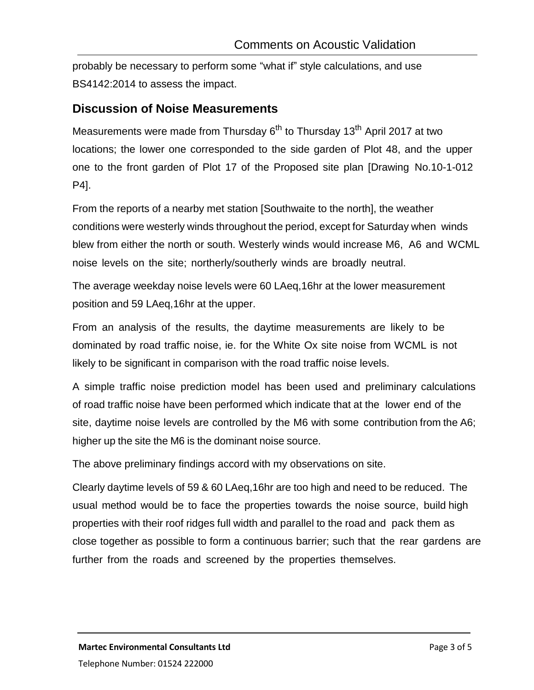methodology<br>Methodology (1999–1999) probably be necessary to perform some "what if" style calculations, and use BS4142:2014 to assess the impact.

#### **Discussion of Noise Measurements**

Measurements were made from Thursday 6<sup>th</sup> to Thursday 13<sup>th</sup> April 2017 at two locations; the lower one corresponded to the side garden of Plot 48, and the upper one to the front garden of Plot 17 of the Proposed site plan [Drawing No.10-1-012 P4].

From the reports of a nearby met station [Southwaite to the north], the weather conditions were westerly winds throughout the period, except for Saturday when winds blew from either the north or south. Westerly winds would increase M6, A6 and WCML noise levels on the site; northerly/southerly winds are broadly neutral.

The average weekday noise levels were 60 LAeq,16hr at the lower measurement position and 59 LAeq,16hr at the upper.

From an analysis of the results, the daytime measurements are likely to be dominated by road traffic noise, ie. for the White Ox site noise from WCML is not likely to be significant in comparison with the road traffic noise levels.

A simple traffic noise prediction model has been used and preliminary calculations of road traffic noise have been performed which indicate that at the lower end of the site, daytime noise levels are controlled by the M6 with some contribution from the A6; higher up the site the M6 is the dominant noise source.

The above preliminary findings accord with my observations on site.

Clearly daytime levels of 59 & 60 LAeq,16hr are too high and need to be reduced. The usual method would be to face the properties towards the noise source, build high properties with their roof ridges full width and parallel to the road and pack them as close together as possible to form a continuous barrier; such that the rear gardens are further from the roads and screened by the properties themselves.